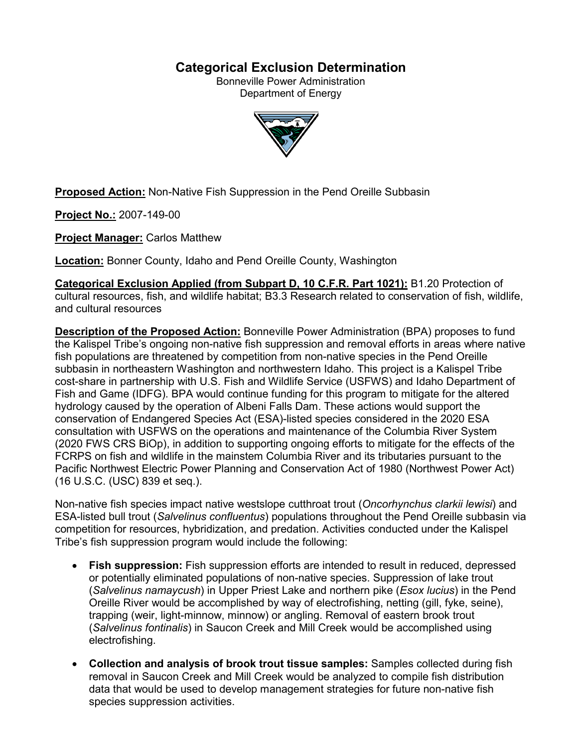# **Categorical Exclusion Determination**

Bonneville Power Administration Department of Energy



**Proposed Action:** Non-Native Fish Suppression in the Pend Oreille Subbasin

**Project No.:** 2007-149-00

**Project Manager:** Carlos Matthew

**Location:** Bonner County, Idaho and Pend Oreille County, Washington

**Categorical Exclusion Applied (from Subpart D, 10 C.F.R. Part 1021):** B1.20 Protection of cultural resources, fish, and wildlife habitat; B3.3 Research related to conservation of fish, wildlife, and cultural resources

**Description of the Proposed Action:** Bonneville Power Administration (BPA) proposes to fund the Kalispel Tribe's ongoing non-native fish suppression and removal efforts in areas where native fish populations are threatened by competition from non-native species in the Pend Oreille subbasin in northeastern Washington and northwestern Idaho. This project is a Kalispel Tribe cost-share in partnership with U.S. Fish and Wildlife Service (USFWS) and Idaho Department of Fish and Game (IDFG). BPA would continue funding for this program to mitigate for the altered hydrology caused by the operation of Albeni Falls Dam. These actions would support the conservation of Endangered Species Act (ESA)-listed species considered in the 2020 ESA consultation with USFWS on the operations and maintenance of the Columbia River System (2020 FWS CRS BiOp), in addition to supporting ongoing efforts to mitigate for the effects of the FCRPS on fish and wildlife in the mainstem Columbia River and its tributaries pursuant to the Pacific Northwest Electric Power Planning and Conservation Act of 1980 (Northwest Power Act) (16 U.S.C. (USC) 839 et seq.).

Non-native fish species impact native westslope cutthroat trout (*Oncorhynchus clarkii lewisi*) and ESA-listed bull trout (*Salvelinus confluentus*) populations throughout the Pend Oreille subbasin via competition for resources, hybridization, and predation. Activities conducted under the Kalispel Tribe's fish suppression program would include the following:

- **Fish suppression:** Fish suppression efforts are intended to result in reduced, depressed or potentially eliminated populations of non-native species. Suppression of lake trout (*Salvelinus namaycush*) in Upper Priest Lake and northern pike (*Esox lucius*) in the Pend Oreille River would be accomplished by way of electrofishing, netting (gill, fyke, seine), trapping (weir, light-minnow, minnow) or angling. Removal of eastern brook trout (*Salvelinus fontinalis*) in Saucon Creek and Mill Creek would be accomplished using electrofishing.
- **Collection and analysis of brook trout tissue samples:** Samples collected during fish removal in Saucon Creek and Mill Creek would be analyzed to compile fish distribution data that would be used to develop management strategies for future non-native fish species suppression activities.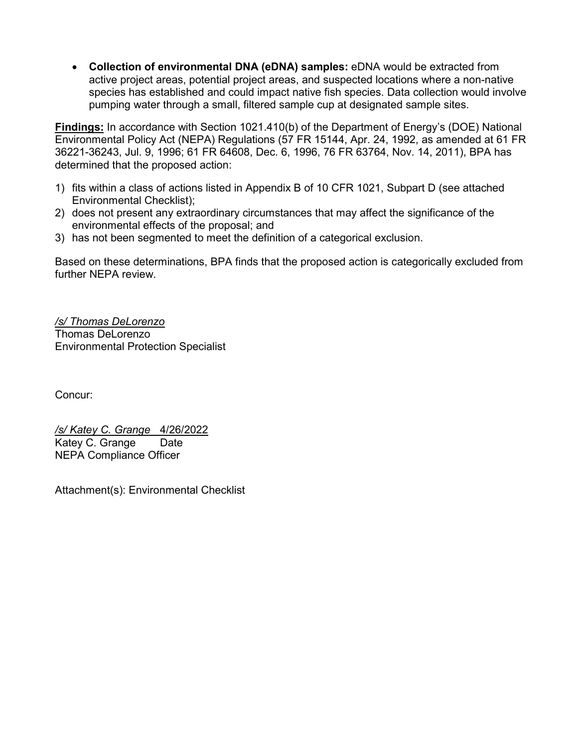• **Collection of environmental DNA (eDNA) samples:** eDNA would be extracted from active project areas, potential project areas, and suspected locations where a non-native species has established and could impact native fish species. Data collection would involve pumping water through a small, filtered sample cup at designated sample sites.

**Findings:** In accordance with Section 1021.410(b) of the Department of Energy's (DOE) National Environmental Policy Act (NEPA) Regulations (57 FR 15144, Apr. 24, 1992, as amended at 61 FR 36221-36243, Jul. 9, 1996; 61 FR 64608, Dec. 6, 1996, 76 FR 63764, Nov. 14, 2011), BPA has determined that the proposed action:

- 1) fits within a class of actions listed in Appendix B of 10 CFR 1021, Subpart D (see attached Environmental Checklist);
- 2) does not present any extraordinary circumstances that may affect the significance of the environmental effects of the proposal; and
- 3) has not been segmented to meet the definition of a categorical exclusion.

Based on these determinations, BPA finds that the proposed action is categorically excluded from further NEPA review.

*/s/ Thomas DeLorenzo* Thomas DeLorenzo Environmental Protection Specialist

Concur:

*/s/ Katey C. Grange* 4/26/2022 Katey C. Grange Date NEPA Compliance Officer

Attachment(s): Environmental Checklist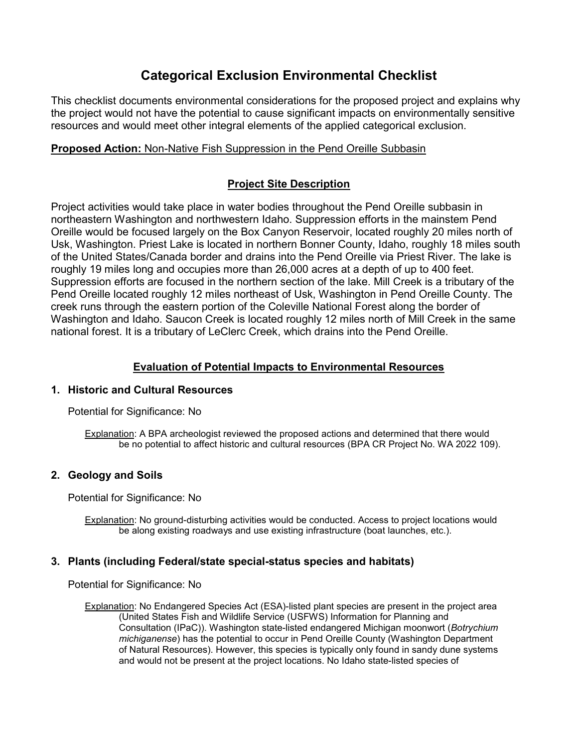# **Categorical Exclusion Environmental Checklist**

This checklist documents environmental considerations for the proposed project and explains why the project would not have the potential to cause significant impacts on environmentally sensitive resources and would meet other integral elements of the applied categorical exclusion.

# **Proposed Action:** Non-Native Fish Suppression in the Pend Oreille Subbasin

# **Project Site Description**

Project activities would take place in water bodies throughout the Pend Oreille subbasin in northeastern Washington and northwestern Idaho. Suppression efforts in the mainstem Pend Oreille would be focused largely on the Box Canyon Reservoir, located roughly 20 miles north of Usk, Washington. Priest Lake is located in northern Bonner County, Idaho, roughly 18 miles south of the United States/Canada border and drains into the Pend Oreille via Priest River. The lake is roughly 19 miles long and occupies more than 26,000 acres at a depth of up to 400 feet. Suppression efforts are focused in the northern section of the lake. Mill Creek is a tributary of the Pend Oreille located roughly 12 miles northeast of Usk, Washington in Pend Oreille County. The creek runs through the eastern portion of the Coleville National Forest along the border of Washington and Idaho. Saucon Creek is located roughly 12 miles north of Mill Creek in the same national forest. It is a tributary of LeClerc Creek, which drains into the Pend Oreille.

## **Evaluation of Potential Impacts to Environmental Resources**

## **1. Historic and Cultural Resources**

Potential for Significance: No

Explanation: A BPA archeologist reviewed the proposed actions and determined that there would be no potential to affect historic and cultural resources (BPA CR Project No. WA 2022 109).

# **2. Geology and Soils**

Potential for Significance: No

Explanation: No ground-disturbing activities would be conducted. Access to project locations would be along existing roadways and use existing infrastructure (boat launches, etc.).

## **3. Plants (including Federal/state special-status species and habitats)**

Potential for Significance: No

Explanation: No Endangered Species Act (ESA)-listed plant species are present in the project area (United States Fish and Wildlife Service (USFWS) Information for Planning and Consultation (IPaC)). Washington state-listed endangered Michigan moonwort (*Botrychium michiganense*) has the potential to occur in Pend Oreille County (Washington Department of Natural Resources). However, this species is typically only found in sandy dune systems and would not be present at the project locations. No Idaho state-listed species of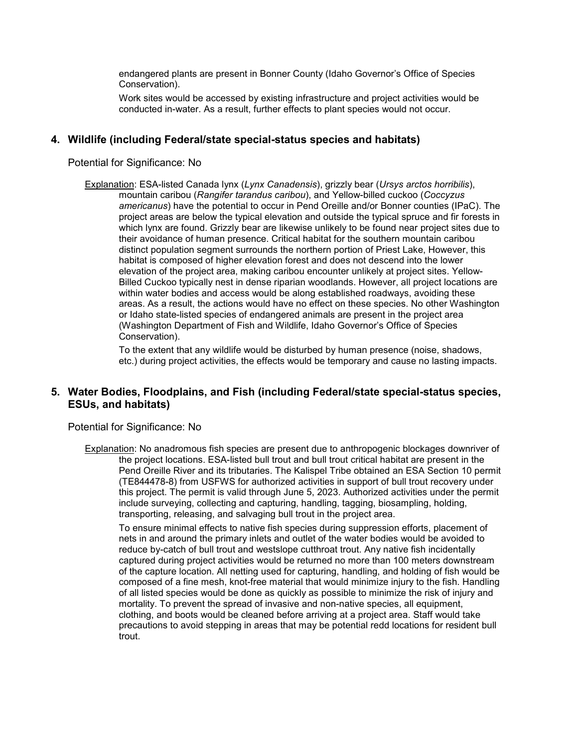endangered plants are present in Bonner County (Idaho Governor's Office of Species Conservation).

Work sites would be accessed by existing infrastructure and project activities would be conducted in-water. As a result, further effects to plant species would not occur.

### **4. Wildlife (including Federal/state special-status species and habitats)**

Potential for Significance: No

Explanation: ESA-listed Canada lynx (*Lynx Canadensis*), grizzly bear (*Ursys arctos horribilis*), mountain caribou (*Rangifer tarandus caribou*), and Yellow-billed cuckoo (*Coccyzus americanus*) have the potential to occur in Pend Oreille and/or Bonner counties (IPaC). The project areas are below the typical elevation and outside the typical spruce and fir forests in which lynx are found. Grizzly bear are likewise unlikely to be found near project sites due to their avoidance of human presence. Critical habitat for the southern mountain caribou distinct population segment surrounds the northern portion of Priest Lake, However, this habitat is composed of higher elevation forest and does not descend into the lower elevation of the project area, making caribou encounter unlikely at project sites. Yellow-Billed Cuckoo typically nest in dense riparian woodlands. However, all project locations are within water bodies and access would be along established roadways, avoiding these areas. As a result, the actions would have no effect on these species. No other Washington or Idaho state-listed species of endangered animals are present in the project area (Washington Department of Fish and Wildlife, Idaho Governor's Office of Species Conservation).

To the extent that any wildlife would be disturbed by human presence (noise, shadows, etc.) during project activities, the effects would be temporary and cause no lasting impacts.

## **5. Water Bodies, Floodplains, and Fish (including Federal/state special-status species, ESUs, and habitats)**

Potential for Significance: No

Explanation: No anadromous fish species are present due to anthropogenic blockages downriver of the project locations. ESA-listed bull trout and bull trout critical habitat are present in the Pend Oreille River and its tributaries. The Kalispel Tribe obtained an ESA Section 10 permit (TE844478-8) from USFWS for authorized activities in support of bull trout recovery under this project. The permit is valid through June 5, 2023. Authorized activities under the permit include surveying, collecting and capturing, handling, tagging, biosampling, holding, transporting, releasing, and salvaging bull trout in the project area.

To ensure minimal effects to native fish species during suppression efforts, placement of nets in and around the primary inlets and outlet of the water bodies would be avoided to reduce by-catch of bull trout and westslope cutthroat trout. Any native fish incidentally captured during project activities would be returned no more than 100 meters downstream of the capture location. All netting used for capturing, handling, and holding of fish would be composed of a fine mesh, knot-free material that would minimize injury to the fish. Handling of all listed species would be done as quickly as possible to minimize the risk of injury and mortality. To prevent the spread of invasive and non-native species, all equipment, clothing, and boots would be cleaned before arriving at a project area. Staff would take precautions to avoid stepping in areas that may be potential redd locations for resident bull trout.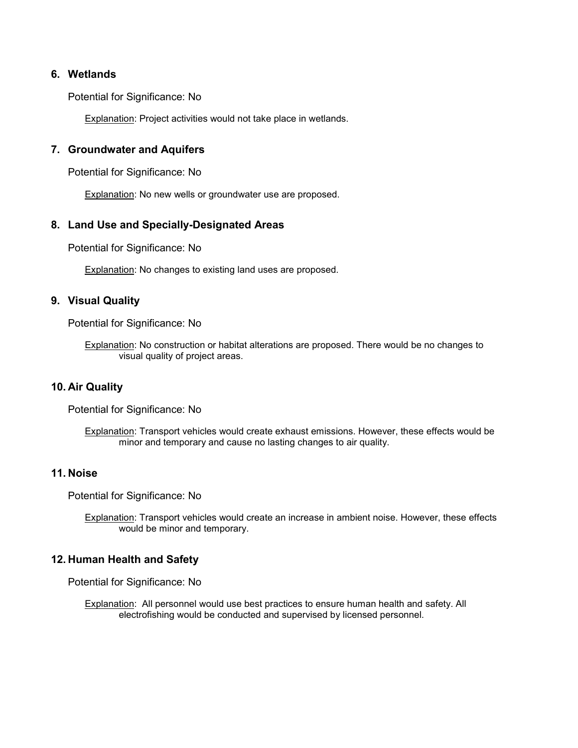#### **6. Wetlands**

Potential for Significance: No

**Explanation: Project activities would not take place in wetlands.** 

### **7. Groundwater and Aquifers**

Potential for Significance: No

Explanation: No new wells or groundwater use are proposed.

#### **8. Land Use and Specially-Designated Areas**

Potential for Significance: No

**Explanation:** No changes to existing land uses are proposed.

#### **9. Visual Quality**

Potential for Significance: No

Explanation: No construction or habitat alterations are proposed. There would be no changes to visual quality of project areas.

#### **10. Air Quality**

Potential for Significance: No

Explanation: Transport vehicles would create exhaust emissions. However, these effects would be minor and temporary and cause no lasting changes to air quality.

#### **11. Noise**

Potential for Significance: No

Explanation: Transport vehicles would create an increase in ambient noise. However, these effects would be minor and temporary.

## **12. Human Health and Safety**

Potential for Significance: No

Explanation: All personnel would use best practices to ensure human health and safety. All electrofishing would be conducted and supervised by licensed personnel.